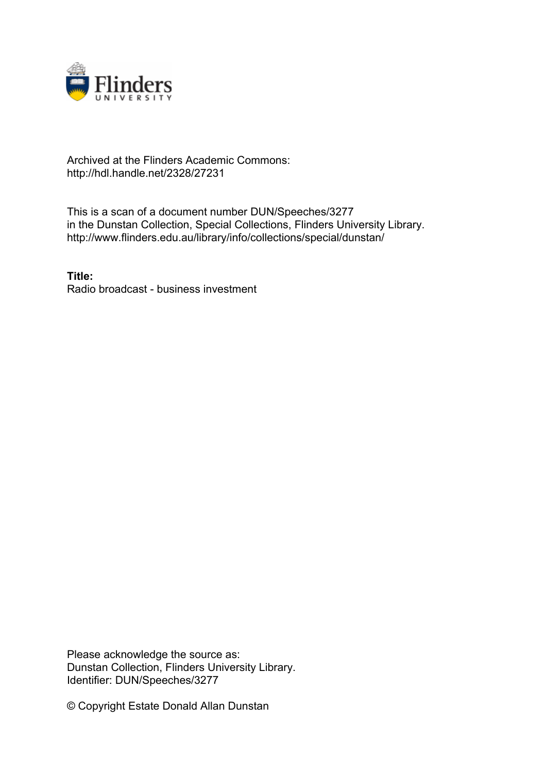

## Archived at the Flinders Academic Commons: http://hdl.handle.net/2328/27231

This is a scan of a document number DUN/Speeches/3277 in the Dunstan Collection, Special Collections, Flinders University Library. http://www.flinders.edu.au/library/info/collections/special/dunstan/

**Title:** Radio broadcast - business investment

Please acknowledge the source as: Dunstan Collection, Flinders University Library. Identifier: DUN/Speeches/3277

© Copyright Estate Donald Allan Dunstan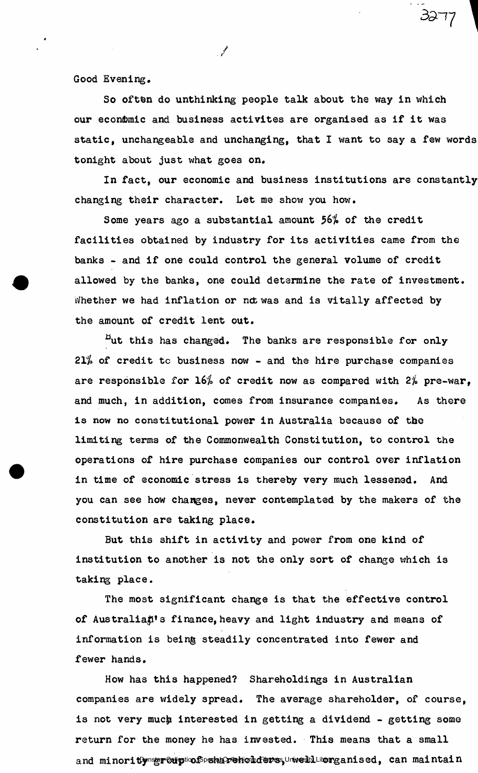Good Evening.

So often do unthinking people talk about the way in which our econômic and business activites are organised as if it was static, unchangeable and unchanging, that I want to say a few words tonight about just what goes on.

 $\mathscr{J}$ 

*3d* 1/ 1

In fact, our economic and business institutions are constantly changing their character. Let me show you how.

Some years ago a substantial amount 56% of the credit facilities obtained by industry for its activities came from the banks - and if one could control the general volume of credit allowed by the banks, one could determine the rate of investment. Whether we had inflation or not was and is vitally affected by the amount of credit lent out.

 $E$ ut this has changed. The banks are responsible for only  $21%$  of credit to business now - and the hire purchase companies are responsible for  $16\%$  of credit now as compared with  $2\%$  pre-war. and much, in addition, comes from insurance companies. As there is now no constitutional power in Australia because of the limiting terms of the Commonwealth Constitution, to control the operations of hire purchase companies our control over inflation in time of economic stress is thereby very much lessened. And you can see how changes, never contemplated by the makers of the constitution are taking place.

But this shift in activity and power from one kind of institution to another is not the only sort of change which is taking place.

The most significant change is that the effective control of Australian's finance, heavy and light industry and means of information is being steadily concentrated into fewer and fewer hands.

How has this happened? Shareholdings in Australian companies are widely spread. The average shareholder, of course, is not very much interested in getting a dividend - getting some return for the money he has invested. This means that a small and minoritymserouptiof Speharneholdens, Unvelit Librang anised, can maintain and minority group of shareholders, well organised, can maintain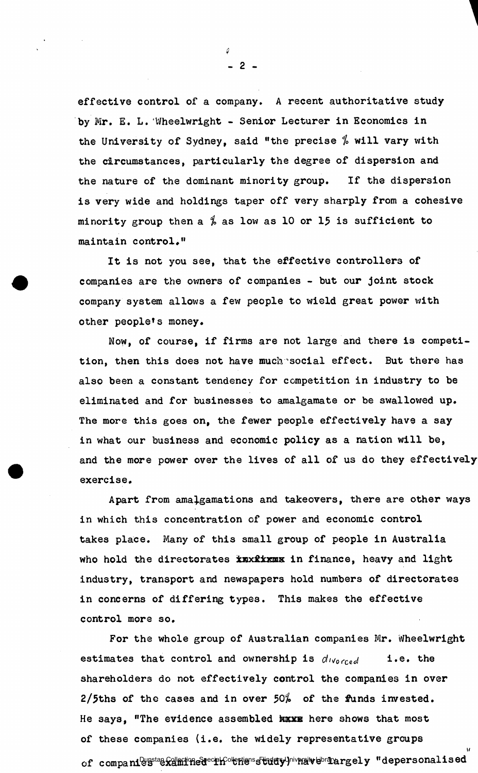effective control of a company. A recent authoritative study by Mr. E. L. Wheelwright - Senior Lecturer in Economics in the University of Sydney, said "the precise  $\frac{\pi}{6}$  will vary with the circumstances, particularly the degree of dispersion and the nature of the dominant minority group. If the dispersion is very wide and holdings taper off very sharply from a cohesive minority group then a  $\frac{q}{q}$  as low as 10 or 15 is sufficient to maintain control, "

It is not you see, that the effective controllers of companies are the owners of companies - but our joint stock company system allows a few people to wield great power with other people\*s money.

Now, of course, if firms are not large and there is competition, then this does not have much social effect. But there has also been a constant tendency for competition in industry to be eliminated and for businesses to amalgamate or be swallowed up. The more this goes on, the fewer people effectively have a say in what our business and economic policy as a nation will be, and the more power over the lives of all of us do they effectively exercise .

Apart from amalgamations and takeovers, there are other ways in which this concentration of power and economic control takes place. Many of this small group of people in Australia who hold the directorates inxitimes in finance, heavy and light industry, transport and newspapers hold numbers of directorates in concerns of differing types. This makes the effective control more so.

For the whole group of Australian companies Mr. Wheelwright estimates that control and ownership is  $d_{Vocced}$  i.e. the shareholders do not effectively control the companies in over 2/5ths of the cases and in over  $50\%$  of the funds invested. He says, "The evidence assembled have here shows that most of these companies (i.e. the widely representative groups **i/**  of companies stan Collection of the study of the study of the study of "depersonalised" of companies  $\alpha$ 

*1*  **- 2 -**